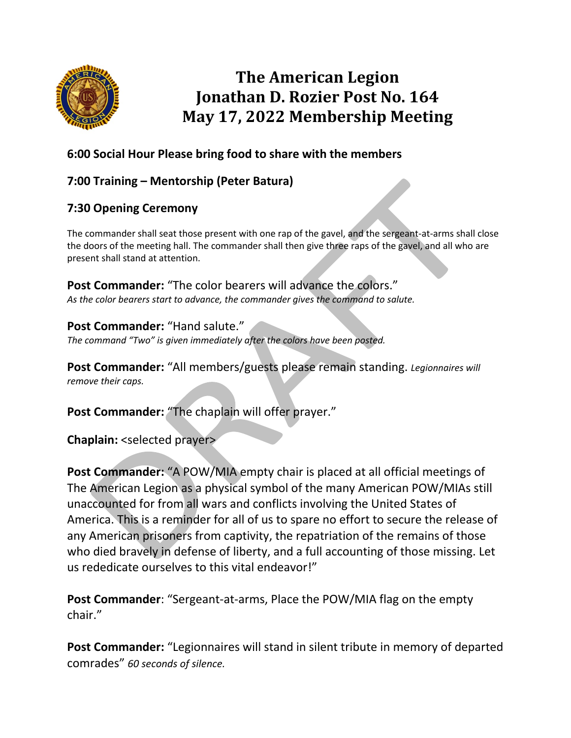

# **The American Legion Jonathan D. Rozier Post No. 164 May 17, 2022 Membership Meeting**

## **6:00 Social Hour Please bring food to share with the members**

# **7:00 Training – Mentorship (Peter Batura)**

## **7:30 Opening Ceremony**

The commander shall seat those present with one rap of the gavel, and the sergeant-at-arms shall close the doors of the meeting hall. The commander shall then give three raps of the gavel, and all who are present shall stand at attention.

**Post Commander:** "The color bearers will advance the colors." *As the color bearers start to advance, the commander gives the command to salute.*

**Post Commander:** "Hand salute." *The command "Two" is given immediately after the colors have been posted.*

**Post Commander:** "All members/guests please remain standing. *Legionnaires will remove their caps.* 

Post Commander: "The chaplain will offer prayer."

**Chaplain:** <selected prayer>

**Post Commander:** "A POW/MIA empty chair is placed at all official meetings of The American Legion as a physical symbol of the many American POW/MIAs still unaccounted for from all wars and conflicts involving the United States of America. This is a reminder for all of us to spare no effort to secure the release of any American prisoners from captivity, the repatriation of the remains of those who died bravely in defense of liberty, and a full accounting of those missing. Let us rededicate ourselves to this vital endeavor!"

**Post Commander**: "Sergeant-at-arms, Place the POW/MIA flag on the empty chair."

Post Commander: "Legionnaires will stand in silent tribute in memory of departed comrades" *60 seconds of silence.*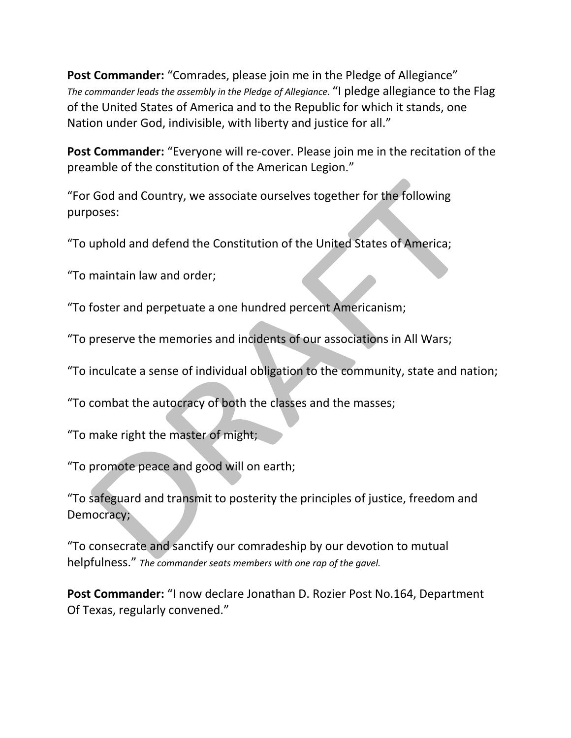**Post Commander:** "Comrades, please join me in the Pledge of Allegiance" *The commander leads the assembly in the Pledge of Allegiance.* "I pledge allegiance to the Flag of the United States of America and to the Republic for which it stands, one Nation under God, indivisible, with liberty and justice for all."

Post Commander: "Everyone will re-cover. Please join me in the recitation of the preamble of the constitution of the American Legion."

"For God and Country, we associate ourselves together for the following purposes:

"To uphold and defend the Constitution of the United States of America;

"To maintain law and order;

"To foster and perpetuate a one hundred percent Americanism;

"To preserve the memories and incidents of our associations in All Wars;

"To inculcate a sense of individual obligation to the community, state and nation;

"To combat the autocracy of both the classes and the masses;

"To make right the master of might;

"To promote peace and good will on earth;

"To safeguard and transmit to posterity the principles of justice, freedom and Democracy;

"To consecrate and sanctify our comradeship by our devotion to mutual helpfulness." *The commander seats members with one rap of the gavel.*

**Post Commander:** "I now declare Jonathan D. Rozier Post No.164, Department Of Texas, regularly convened."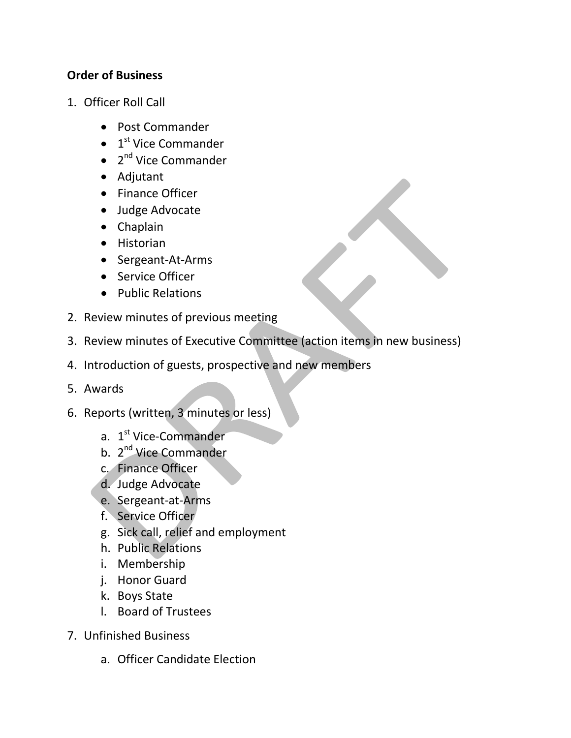#### **Order of Business**

- 1. Officer Roll Call
	- Post Commander
	- $\bullet$  1<sup>st</sup> Vice Commander
	- $\bullet$  2<sup>nd</sup> Vice Commander
	- Adjutant
	- Finance Officer
	- Judge Advocate
	- Chaplain
	- Historian
	- Sergeant-At-Arms
	- Service Officer
	- Public Relations
- 2. Review minutes of previous meeting
- 3. Review minutes of Executive Committee (action items in new business)
- 4. Introduction of guests, prospective and new members
- 5. Awards
- 6. Reports (written, 3 minutes or less)
	- a. 1<sup>st</sup> Vice-Commander
	- b. 2<sup>nd</sup> Vice Commander
	- c. Finance Officer
	- d. Judge Advocate
	- e. Sergeant-at-Arms
	- f. Service Officer
	- g. Sick call, relief and employment
	- h. Public Relations
	- i. Membership
	- j. Honor Guard
	- k. Boys State
	- l. Board of Trustees
- 7. Unfinished Business
	- a. Officer Candidate Election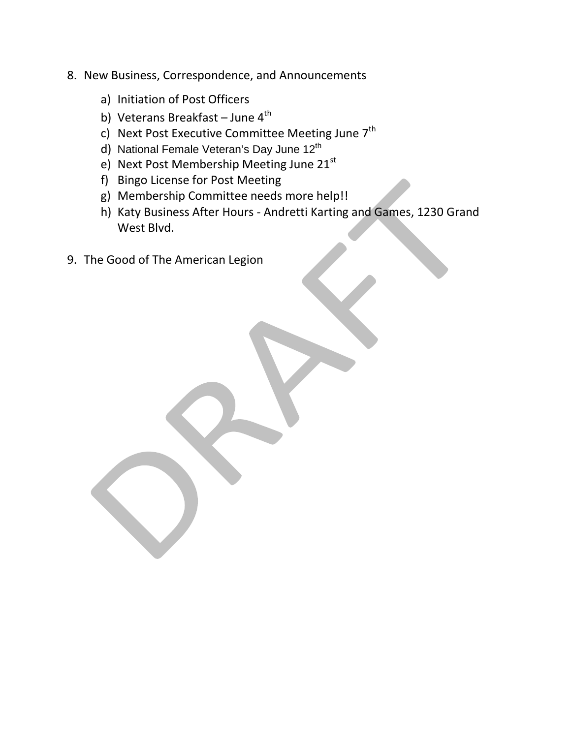- 8. New Business, Correspondence, and Announcements
	- a) Initiation of Post Officers
	- b) Veterans Breakfast June  $4<sup>th</sup>$
	- c) Next Post Executive Committee Meeting June 7<sup>th</sup>
	- d) National Female Veteran's Day June 12<sup>th</sup>
	- e) Next Post Membership Meeting June 21st
	- f) Bingo License for Post Meeting
	- g) Membership Committee needs more help!!
	- h) Katy Business After Hours Andretti Karting and Games, 1230 Grand West Blvd.
- 9. The Good of The American Legion